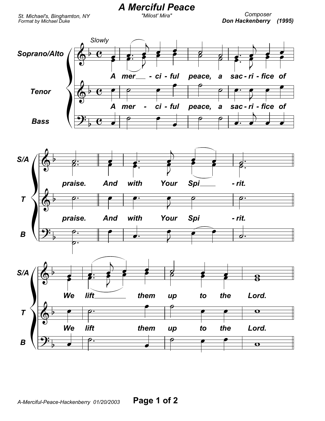St. Michael's, Binghamton, NY Format by Michael Duke

## Composer Don Hackenberry (1995)



**A Merciful Peace** 

"Milost' Mira"